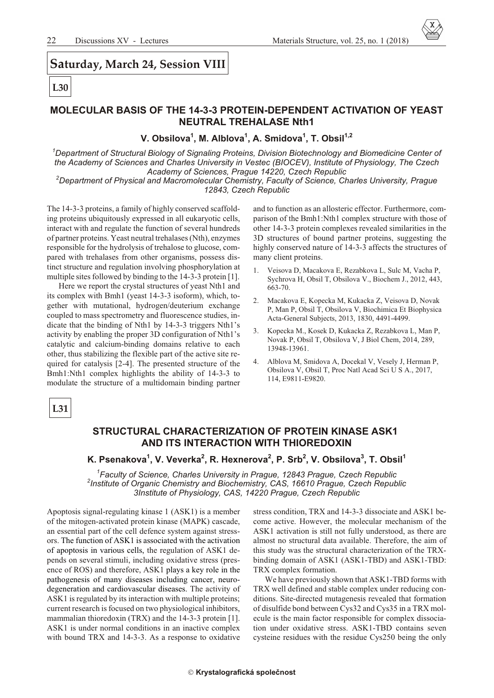# Saturday, March 24, Session VIII

## L<sub>30</sub>

### **MOLECULAR BASIS OF THE 14-3-3 PROTEIN-DEPENDENT ACTIVATION OF YEAST NEUTRAL TREHALASE Nth1**

V. Obsilova<sup>1</sup>, M. Alblova<sup>1</sup>, A. Smidova<sup>1</sup>, T. Obsil<sup>1,2</sup>

<sup>1</sup>Department of Structural Biology of Signaling Proteins, Division Biotechnology and Biomedicine Center of the Academy of Sciences and Charles University in Vestec (BIOCEV), Institute of Physiology, The Czech Academy of Sciences, Prague 14220, Czech Republic

<sup>2</sup>Department of Physical and Macromolecular Chemistry, Faculty of Science, Charles University, Prague 12843, Czech Republic

The 14-3-3 proteins, a family of highly conserved scaffolding proteins ubiquitously expressed in all eukaryotic cells. interact with and regulate the function of several hundreds of partner proteins. Yeast neutral trehalases (Nth), enzymes responsible for the hydrolysis of trehalose to glucose, compared with trehalases from other organisms, possess distinct structure and regulation involving phosphorylation at multiple sites followed by binding to the 14-3-3 protein [1].

Here we report the crystal structures of yeast Nth1 and its complex with Bmh1 (yeast 14-3-3 isoform), which, together with mutational, hydrogen/deuterium exchange coupled to mass spectrometry and fluorescence studies, indicate that the binding of Nth1 by 14-3-3 triggers Nth1's activity by enabling the proper 3D configuration of Nth1's catalytic and calcium-binding domains relative to each other, thus stabilizing the flexible part of the active site required for catalysis [2-4]. The presented structure of the Bmh1:Nth1 complex highlights the ability of 14-3-3 to modulate the structure of a multidomain binding partner

and to function as an allosteric effector. Furthermore, comparison of the Bmh1: Nth1 complex structure with those of other 14-3-3 protein complexes revealed similarities in the 3D structures of bound partner proteins, suggesting the highly conserved nature of 14-3-3 affects the structures of many client proteins.

- Veisova D, Macakova E, Rezabkova L, Sulc M, Vacha P,  $\mathbf{1}$ . Sychrova H, Obsil T, Obsilova V., Biochem J., 2012, 443, 663-70.
- $2.$ Macakova E, Kopecka M, Kukacka Z, Veisova D, Novak P, Man P, Obsil T, Obsilova V, Biochimica Et Biophysica Acta-General Subjects, 2013, 1830, 4491-4499.
- 3. Kopecka M., Kosek D, Kukacka Z, Rezabkova L, Man P, Novak P, Obsil T, Obsilova V, J Biol Chem, 2014, 289, 13948-13961.
- Alblova M, Smidova A, Docekal V, Vesely J, Herman P, 4. Obsilova V, Obsil T, Proc Natl Acad Sci U S A., 2017, 114, E9811-E9820.

 $L31$ 

#### STRUCTURAL CHARACTERIZATION OF PROTEIN KINASE ASK1 AND ITS INTERACTION WITH THIOREDOXIN

### K. Psenakova<sup>1</sup>, V. Veverka<sup>2</sup>, R. Hexnerova<sup>2</sup>, P. Srb<sup>2</sup>, V. Obsilova<sup>3</sup>, T. Obsil<sup>1</sup>

<sup>1</sup>Faculty of Science, Charles University in Prague, 12843 Prague, Czech Republic <sup>2</sup>Institute of Organic Chemistry and Biochemistry, CAS, 16610 Prague, Czech Republic 3Institute of Physiology, CAS, 14220 Prague, Czech Republic

Apoptosis signal-regulating kinase 1 (ASK1) is a member of the mitogen-activated protein kinase (MAPK) cascade, an essential part of the cell defence system against stressors. The function of ASK1 is associated with the activation of apoptosis in various cells, the regulation of ASK1 depends on several stimuli, including oxidative stress (presence of ROS) and therefore, ASK1 plays a key role in the pathogenesis of many diseases including cancer, neurodegeneration and cardiovascular diseases. The activity of ASK1 is regulated by its interaction with multiple proteins; current research is focused on two physiological inhibitors, mammalian thioredoxin (TRX) and the 14-3-3 protein [1]. ASK1 is under normal conditions in an inactive complex with bound TRX and 14-3-3. As a response to oxidative

stress condition, TRX and 14-3-3 dissociate and ASK1 become active. However, the molecular mechanism of the ASK1 activation is still not fully understood, as there are almost no structural data available. Therefore, the aim of this study was the structural characterization of the TRXbinding domain of ASK1 (ASK1-TBD) and ASK1-TBD: TRX complex formation.

We have previously shown that ASK1-TBD forms with TRX well defined and stable complex under reducing conditions. Site-directed mutagenesis revealed that formation of disulfide bond between Cys32 and Cys35 in a TRX molecule is the main factor responsible for complex dissociation under oxidative stress. ASK1-TBD contains seven cysteine residues with the residue Cys250 being the only